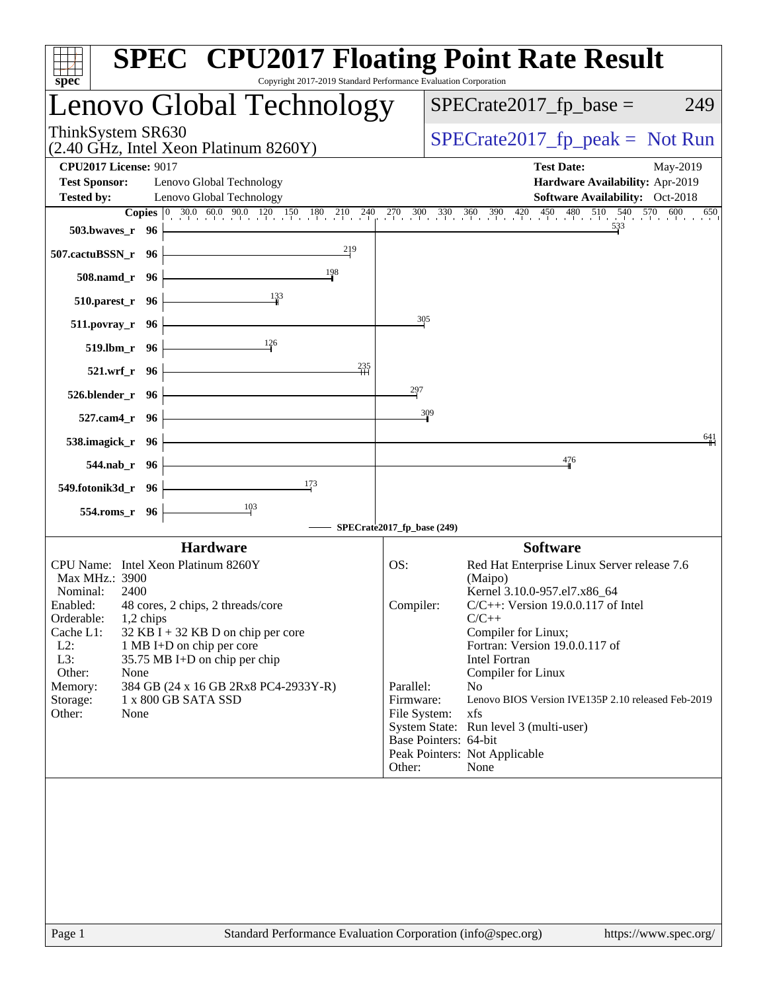| spec <sup>®</sup>                                                                                                                                                                                                                                                                                                                                                                                                   | <b>SPEC<sup>®</sup> CPU2017 Floating Point Rate Result</b><br>Copyright 2017-2019 Standard Performance Evaluation Corporation                                                                                                                                                                                                                                                                                                                              |
|---------------------------------------------------------------------------------------------------------------------------------------------------------------------------------------------------------------------------------------------------------------------------------------------------------------------------------------------------------------------------------------------------------------------|------------------------------------------------------------------------------------------------------------------------------------------------------------------------------------------------------------------------------------------------------------------------------------------------------------------------------------------------------------------------------------------------------------------------------------------------------------|
| Lenovo Global Technology                                                                                                                                                                                                                                                                                                                                                                                            | $SPECrate2017_fp\_base =$<br>249                                                                                                                                                                                                                                                                                                                                                                                                                           |
| ThinkSystem SR630<br>(2.40 GHz, Intel Xeon Platinum 8260Y)                                                                                                                                                                                                                                                                                                                                                          | $SPECrate2017_fp\_peak = Not Run$                                                                                                                                                                                                                                                                                                                                                                                                                          |
| <b>CPU2017 License: 9017</b><br><b>Test Sponsor:</b><br>Lenovo Global Technology<br><b>Tested by:</b><br>Lenovo Global Technology                                                                                                                                                                                                                                                                                   | <b>Test Date:</b><br>May-2019<br>Hardware Availability: Apr-2019<br>Software Availability: Oct-2018                                                                                                                                                                                                                                                                                                                                                        |
| <b>503.bwaves_r</b> 96<br>219<br>507.cactuBSSN_r 96                                                                                                                                                                                                                                                                                                                                                                 | <b>Copies</b> 0 30.0 60.0 90.0 120 150 180 210 240 270 300 330 360 390 420 450 480 510 540 570 600<br>650<br>533                                                                                                                                                                                                                                                                                                                                           |
| 198<br>508.namd_r 96<br>$\frac{133}{1}$<br>$510.parest_r$ 96                                                                                                                                                                                                                                                                                                                                                        |                                                                                                                                                                                                                                                                                                                                                                                                                                                            |
| $511. povray_r$ 96<br>$\frac{126}{1}$<br>519.lbm_r 96                                                                                                                                                                                                                                                                                                                                                               | 305                                                                                                                                                                                                                                                                                                                                                                                                                                                        |
| 235<br>$521.wrf_r$ 96<br>$526.blender_r$ 96                                                                                                                                                                                                                                                                                                                                                                         | 297                                                                                                                                                                                                                                                                                                                                                                                                                                                        |
| 527.cam4_r 96<br>538.imagick_r 96                                                                                                                                                                                                                                                                                                                                                                                   | 309<br>$\frac{641}{1}$                                                                                                                                                                                                                                                                                                                                                                                                                                     |
| 544.nab_r 96                                                                                                                                                                                                                                                                                                                                                                                                        | 476                                                                                                                                                                                                                                                                                                                                                                                                                                                        |
| 173<br>549.fotonik3d_r 96                                                                                                                                                                                                                                                                                                                                                                                           |                                                                                                                                                                                                                                                                                                                                                                                                                                                            |
| $\frac{103}{ }$<br>554.roms_r 96                                                                                                                                                                                                                                                                                                                                                                                    | SPECrate2017_fp_base (249)                                                                                                                                                                                                                                                                                                                                                                                                                                 |
| <b>Hardware</b>                                                                                                                                                                                                                                                                                                                                                                                                     | <b>Software</b>                                                                                                                                                                                                                                                                                                                                                                                                                                            |
| CPU Name: Intel Xeon Platinum 8260Y<br>Max MHz.: 3900<br>Nominal:<br>2400<br>Enabled:<br>48 cores, 2 chips, 2 threads/core<br>Orderable:<br>1,2 chips<br>Cache L1:<br>$32$ KB I + 32 KB D on chip per core<br>$L2$ :<br>1 MB I+D on chip per core<br>L3:<br>35.75 MB I+D on chip per chip<br>Other:<br>None<br>Memory:<br>384 GB (24 x 16 GB 2Rx8 PC4-2933Y-R)<br>1 x 800 GB SATA SSD<br>Storage:<br>Other:<br>None | Red Hat Enterprise Linux Server release 7.6<br>OS:<br>(Maipo)<br>Kernel 3.10.0-957.el7.x86_64<br>$C/C++$ : Version 19.0.0.117 of Intel<br>Compiler:<br>$C/C++$<br>Compiler for Linux;<br>Fortran: Version 19.0.0.117 of<br>Intel Fortran<br>Compiler for Linux<br>Parallel:<br>N <sub>o</sub><br>Lenovo BIOS Version IVE135P 2.10 released Feb-2019<br>Firmware:<br>File System:<br>xfs<br>System State: Run level 3 (multi-user)<br>Base Pointers: 64-bit |
|                                                                                                                                                                                                                                                                                                                                                                                                                     | Peak Pointers: Not Applicable<br>Other:<br>None                                                                                                                                                                                                                                                                                                                                                                                                            |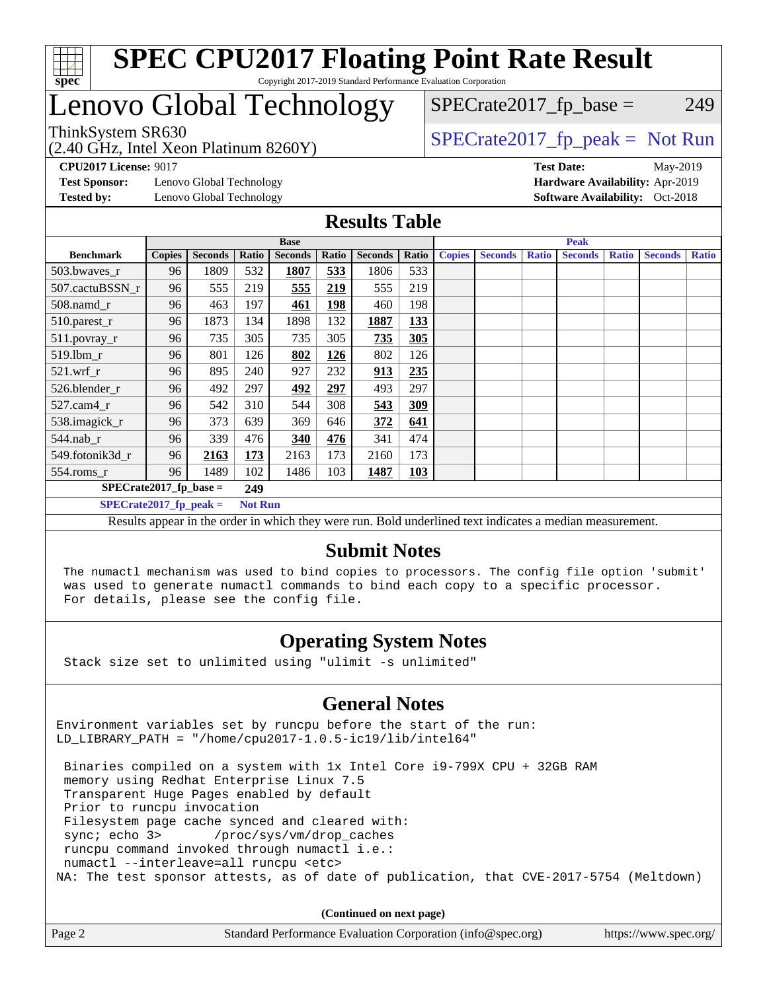

# Lenovo Global Technology

(2.40 GHz, Intel Xeon Platinum 8260Y)

ThinkSystem SR630<br>  $SPECTR_{12}$  [SPECrate2017\\_fp\\_peak =](http://www.spec.org/auto/cpu2017/Docs/result-fields.html#SPECrate2017fppeak) Not Run

 $SPECTate2017<sub>fp</sub> base = 249$ 

**[Test Sponsor:](http://www.spec.org/auto/cpu2017/Docs/result-fields.html#TestSponsor)** Lenovo Global Technology **[Hardware Availability:](http://www.spec.org/auto/cpu2017/Docs/result-fields.html#HardwareAvailability)** Apr-2019 **[Tested by:](http://www.spec.org/auto/cpu2017/Docs/result-fields.html#Testedby)** Lenovo Global Technology **[Software Availability:](http://www.spec.org/auto/cpu2017/Docs/result-fields.html#SoftwareAvailability)** Oct-2018

**[CPU2017 License:](http://www.spec.org/auto/cpu2017/Docs/result-fields.html#CPU2017License)** 9017 **[Test Date:](http://www.spec.org/auto/cpu2017/Docs/result-fields.html#TestDate)** May-2019

#### **[Results Table](http://www.spec.org/auto/cpu2017/Docs/result-fields.html#ResultsTable)**

|                                  | <b>Base</b>   |                |                |                | <b>Peak</b> |                |       |               |                |              |                |              |                |              |
|----------------------------------|---------------|----------------|----------------|----------------|-------------|----------------|-------|---------------|----------------|--------------|----------------|--------------|----------------|--------------|
| <b>Benchmark</b>                 | <b>Copies</b> | <b>Seconds</b> | Ratio          | <b>Seconds</b> | Ratio       | <b>Seconds</b> | Ratio | <b>Copies</b> | <b>Seconds</b> | <b>Ratio</b> | <b>Seconds</b> | <b>Ratio</b> | <b>Seconds</b> | <b>Ratio</b> |
| 503.bwaves_r                     | 96            | 1809           | 532            | 1807           | 533         | 1806           | 533   |               |                |              |                |              |                |              |
| 507.cactuBSSN r                  | 96            | 555            | 219            | 555            | 219         | 555            | 219   |               |                |              |                |              |                |              |
| $508$ .namd $r$                  | 96            | 463            | 197            | 461            | 198         | 460            | 198   |               |                |              |                |              |                |              |
| 510.parest_r                     | 96            | 1873           | 134            | 1898           | 132         | 1887           | 133   |               |                |              |                |              |                |              |
| 511.povray_r                     | 96            | 735            | 305            | 735            | 305         | 735            | 305   |               |                |              |                |              |                |              |
| 519.lbm r                        | 96            | 801            | 126            | 802            | 126         | 802            | 126   |               |                |              |                |              |                |              |
| 521.wrf                          | 96            | 895            | 240            | 927            | 232         | 913            | 235   |               |                |              |                |              |                |              |
| 526.blender r                    | 96            | 492            | 297            | 492            | 297         | 493            | 297   |               |                |              |                |              |                |              |
| 527.cam4_r                       | 96            | 542            | 310            | 544            | 308         | 543            | 309   |               |                |              |                |              |                |              |
| 538.imagick_r                    | 96            | 373            | 639            | 369            | 646         | 372            | 641   |               |                |              |                |              |                |              |
| $544$ .nab r                     | 96            | 339            | 476            | 340            | 476         | 341            | 474   |               |                |              |                |              |                |              |
| 549.fotonik3d r                  | 96            | 2163           | 173            | 2163           | 173         | 2160           | 173   |               |                |              |                |              |                |              |
| $554$ .roms_r                    | 96            | 1489           | 102            | 1486           | 103         | 1487           | 103   |               |                |              |                |              |                |              |
| $SPECrate2017_fp\_base =$<br>249 |               |                |                |                |             |                |       |               |                |              |                |              |                |              |
| $SPECrate2017$ fp peak =         |               |                | <b>Not Run</b> |                |             |                |       |               |                |              |                |              |                |              |

Results appear in the [order in which they were run](http://www.spec.org/auto/cpu2017/Docs/result-fields.html#RunOrder). Bold underlined text [indicates a median measurement](http://www.spec.org/auto/cpu2017/Docs/result-fields.html#Median).

#### **[Submit Notes](http://www.spec.org/auto/cpu2017/Docs/result-fields.html#SubmitNotes)**

 The numactl mechanism was used to bind copies to processors. The config file option 'submit' was used to generate numactl commands to bind each copy to a specific processor. For details, please see the config file.

### **[Operating System Notes](http://www.spec.org/auto/cpu2017/Docs/result-fields.html#OperatingSystemNotes)**

Stack size set to unlimited using "ulimit -s unlimited"

#### **[General Notes](http://www.spec.org/auto/cpu2017/Docs/result-fields.html#GeneralNotes)**

Environment variables set by runcpu before the start of the run: LD LIBRARY PATH = "/home/cpu2017-1.0.5-ic19/lib/intel64"

 Binaries compiled on a system with 1x Intel Core i9-799X CPU + 32GB RAM memory using Redhat Enterprise Linux 7.5 Transparent Huge Pages enabled by default Prior to runcpu invocation Filesystem page cache synced and cleared with: sync; echo 3> /proc/sys/vm/drop\_caches runcpu command invoked through numactl i.e.: numactl --interleave=all runcpu <etc> NA: The test sponsor attests, as of date of publication, that CVE-2017-5754 (Meltdown)

**(Continued on next page)**

| Page 2 | Standard Performance Evaluation Corporation (info@spec.org) | https://www.spec.org/ |
|--------|-------------------------------------------------------------|-----------------------|
|--------|-------------------------------------------------------------|-----------------------|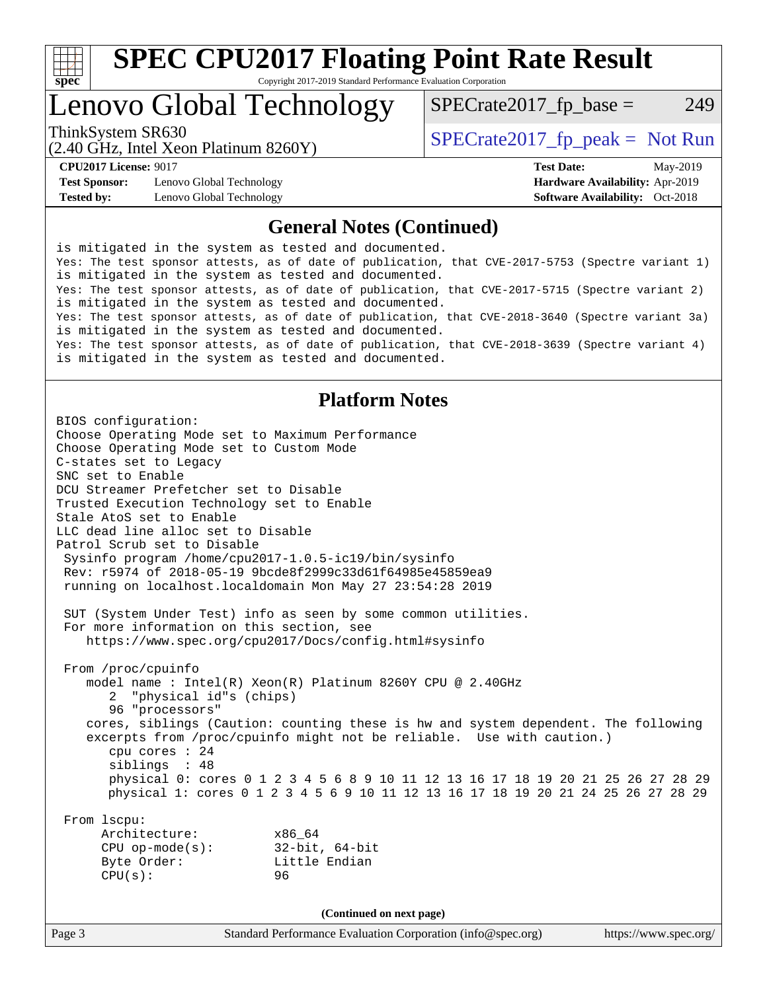

# Lenovo Global Technology

(2.40 GHz, Intel Xeon Platinum 8260Y)

ThinkSystem SR630<br>  $SPECTI<sub>2</sub> Intel Yesen Plitium 8260V$ <br>  $SPECTI<sub>3</sub> Intel Yesen Plitium 8260V$ 

 $SPECTate2017<sub>fp</sub> base = 249$ 

**[Test Sponsor:](http://www.spec.org/auto/cpu2017/Docs/result-fields.html#TestSponsor)** Lenovo Global Technology **[Hardware Availability:](http://www.spec.org/auto/cpu2017/Docs/result-fields.html#HardwareAvailability)** Apr-2019 **[Tested by:](http://www.spec.org/auto/cpu2017/Docs/result-fields.html#Testedby)** Lenovo Global Technology **[Software Availability:](http://www.spec.org/auto/cpu2017/Docs/result-fields.html#SoftwareAvailability)** Oct-2018

**[CPU2017 License:](http://www.spec.org/auto/cpu2017/Docs/result-fields.html#CPU2017License)** 9017 **[Test Date:](http://www.spec.org/auto/cpu2017/Docs/result-fields.html#TestDate)** May-2019

#### **[General Notes \(Continued\)](http://www.spec.org/auto/cpu2017/Docs/result-fields.html#GeneralNotes)**

is mitigated in the system as tested and documented. Yes: The test sponsor attests, as of date of publication, that CVE-2017-5753 (Spectre variant 1) is mitigated in the system as tested and documented. Yes: The test sponsor attests, as of date of publication, that CVE-2017-5715 (Spectre variant 2) is mitigated in the system as tested and documented. Yes: The test sponsor attests, as of date of publication, that CVE-2018-3640 (Spectre variant 3a) is mitigated in the system as tested and documented. Yes: The test sponsor attests, as of date of publication, that CVE-2018-3639 (Spectre variant 4) is mitigated in the system as tested and documented.

#### **[Platform Notes](http://www.spec.org/auto/cpu2017/Docs/result-fields.html#PlatformNotes)**

Page 3 Standard Performance Evaluation Corporation [\(info@spec.org\)](mailto:info@spec.org) <https://www.spec.org/> BIOS configuration: Choose Operating Mode set to Maximum Performance Choose Operating Mode set to Custom Mode C-states set to Legacy SNC set to Enable DCU Streamer Prefetcher set to Disable Trusted Execution Technology set to Enable Stale AtoS set to Enable LLC dead line alloc set to Disable Patrol Scrub set to Disable Sysinfo program /home/cpu2017-1.0.5-ic19/bin/sysinfo Rev: r5974 of 2018-05-19 9bcde8f2999c33d61f64985e45859ea9 running on localhost.localdomain Mon May 27 23:54:28 2019 SUT (System Under Test) info as seen by some common utilities. For more information on this section, see <https://www.spec.org/cpu2017/Docs/config.html#sysinfo> From /proc/cpuinfo model name : Intel(R) Xeon(R) Platinum 8260Y CPU @ 2.40GHz 2 "physical id"s (chips) 96 "processors" cores, siblings (Caution: counting these is hw and system dependent. The following excerpts from /proc/cpuinfo might not be reliable. Use with caution.) cpu cores : 24 siblings : 48 physical 0: cores 0 1 2 3 4 5 6 8 9 10 11 12 13 16 17 18 19 20 21 25 26 27 28 29 physical 1: cores 0 1 2 3 4 5 6 9 10 11 12 13 16 17 18 19 20 21 24 25 26 27 28 29 From lscpu: Architecture: x86\_64 CPU op-mode(s): 32-bit, 64-bit Byte Order: Little Endian CPU(s): 96 **(Continued on next page)**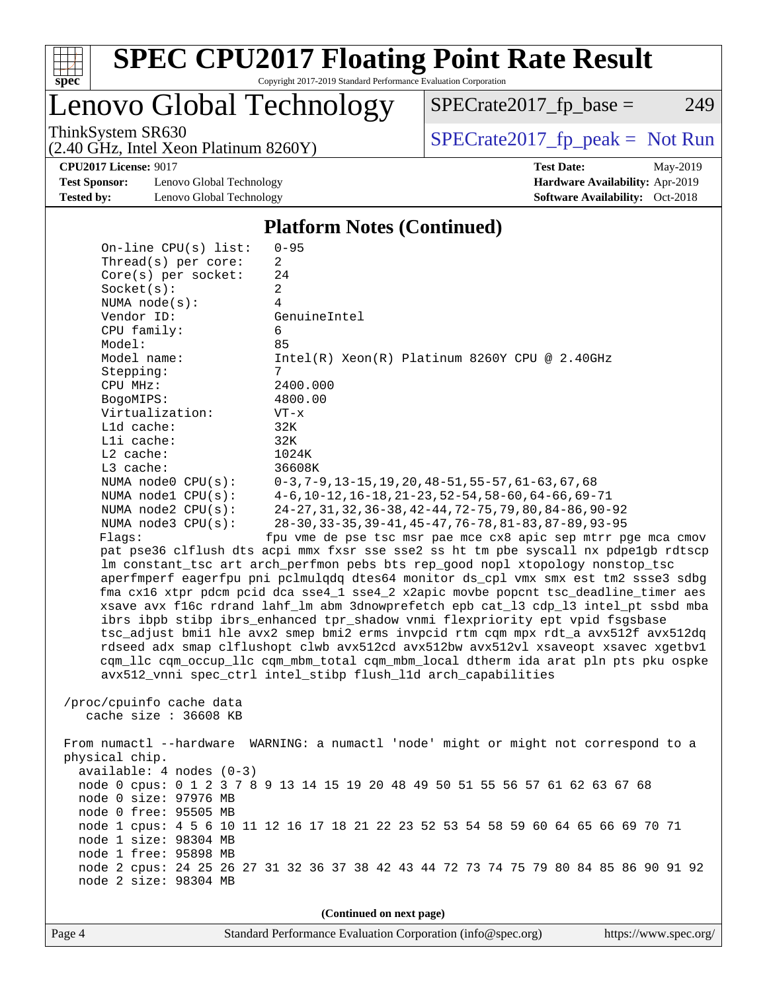

Lenovo Global Technology

(2.40 GHz, Intel Xeon Platinum 8260Y)

ThinkSystem SR630<br>  $SPECTR_{12}$  [SPECrate2017\\_fp\\_peak =](http://www.spec.org/auto/cpu2017/Docs/result-fields.html#SPECrate2017fppeak) Not Run

 $SPECTate2017<sub>fp</sub> base = 249$ 

**[Test Sponsor:](http://www.spec.org/auto/cpu2017/Docs/result-fields.html#TestSponsor)** Lenovo Global Technology **[Hardware Availability:](http://www.spec.org/auto/cpu2017/Docs/result-fields.html#HardwareAvailability)** Apr-2019 **[Tested by:](http://www.spec.org/auto/cpu2017/Docs/result-fields.html#Testedby)** Lenovo Global Technology **[Software Availability:](http://www.spec.org/auto/cpu2017/Docs/result-fields.html#SoftwareAvailability)** Oct-2018

**[CPU2017 License:](http://www.spec.org/auto/cpu2017/Docs/result-fields.html#CPU2017License)** 9017 **[Test Date:](http://www.spec.org/auto/cpu2017/Docs/result-fields.html#TestDate)** May-2019

#### **[Platform Notes \(Continued\)](http://www.spec.org/auto/cpu2017/Docs/result-fields.html#PlatformNotes)**

 On-line CPU(s) list: 0-95 Thread(s) per core: 2 Core(s) per socket: 24 Socket(s): 2 NUMA node(s): 4 Vendor ID: GenuineIntel CPU family: 6 Model: 85 Model name:  $Intel(R)$  Xeon(R) Platinum 8260Y CPU @ 2.40GHz Stepping: 7 CPU MHz: 2400.000 BogoMIPS: 4800.00 Virtualization: VT-x L1d cache: 32K L1i cache: 32K L2 cache: 1024K L3 cache: 36608K NUMA node0 CPU(s): 0-3,7-9,13-15,19,20,48-51,55-57,61-63,67,68 NUMA node1 CPU(s): 4-6,10-12,16-18,21-23,52-54,58-60,64-66,69-71 NUMA node2 CPU(s): 24-27,31,32,36-38,42-44,72-75,79,80,84-86,90-92 NUMA node3 CPU(s): 28-30,33-35,39-41,45-47,76-78,81-83,87-89,93-95 Flags: fpu vme de pse tsc msr pae mce cx8 apic sep mtrr pge mca cmov pat pse36 clflush dts acpi mmx fxsr sse sse2 ss ht tm pbe syscall nx pdpe1gb rdtscp lm constant\_tsc art arch\_perfmon pebs bts rep\_good nopl xtopology nonstop\_tsc aperfmperf eagerfpu pni pclmulqdq dtes64 monitor ds\_cpl vmx smx est tm2 ssse3 sdbg fma cx16 xtpr pdcm pcid dca sse4\_1 sse4\_2 x2apic movbe popcnt tsc\_deadline\_timer aes xsave avx f16c rdrand lahf\_lm abm 3dnowprefetch epb cat\_l3 cdp\_l3 intel\_pt ssbd mba ibrs ibpb stibp ibrs\_enhanced tpr\_shadow vnmi flexpriority ept vpid fsgsbase tsc\_adjust bmi1 hle avx2 smep bmi2 erms invpcid rtm cqm mpx rdt\_a avx512f avx512dq rdseed adx smap clflushopt clwb avx512cd avx512bw avx512vl xsaveopt xsavec xgetbv1 cqm\_llc cqm\_occup\_llc cqm\_mbm\_total cqm\_mbm\_local dtherm ida arat pln pts pku ospke avx512\_vnni spec\_ctrl intel\_stibp flush\_l1d arch\_capabilities /proc/cpuinfo cache data cache size : 36608 KB From numactl --hardware WARNING: a numactl 'node' might or might not correspond to a physical chip. available: 4 nodes (0-3) node 0 cpus: 0 1 2 3 7 8 9 13 14 15 19 20 48 49 50 51 55 56 57 61 62 63 67 68 node 0 size: 97976 MB node 0 free: 95505 MB node 1 cpus: 4 5 6 10 11 12 16 17 18 21 22 23 52 53 54 58 59 60 64 65 66 69 70 71 node 1 size: 98304 MB node 1 free: 95898 MB node 2 cpus: 24 25 26 27 31 32 36 37 38 42 43 44 72 73 74 75 79 80 84 85 86 90 91 92 node 2 size: 98304 MB

**(Continued on next page)**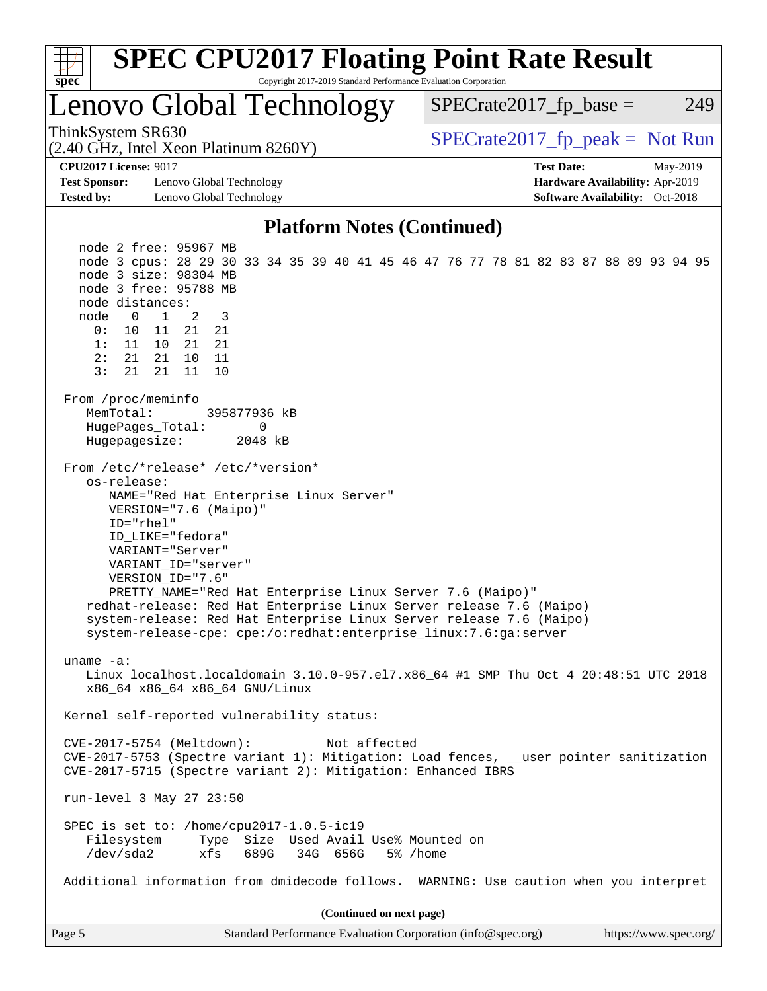

Page 5 Standard Performance Evaluation Corporation [\(info@spec.org\)](mailto:info@spec.org) <https://www.spec.org/>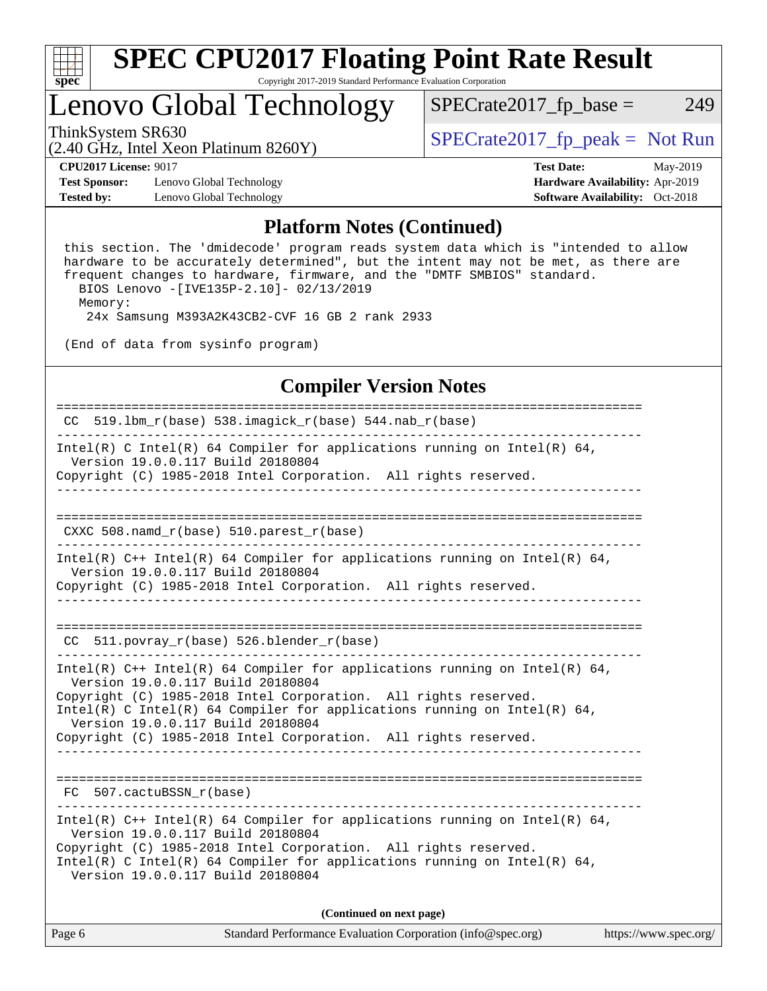

### Lenovo Global Technology

ThinkSystem SR630<br>  $SPECTR_{1.}$  [SPECrate2017\\_fp\\_peak =](http://www.spec.org/auto/cpu2017/Docs/result-fields.html#SPECrate2017fppeak) Not Run

 $SPECTate2017<sub>fp</sub> base = 249$ 

(2.40 GHz, Intel Xeon Platinum 8260Y)

**[Test Sponsor:](http://www.spec.org/auto/cpu2017/Docs/result-fields.html#TestSponsor)** Lenovo Global Technology **[Hardware Availability:](http://www.spec.org/auto/cpu2017/Docs/result-fields.html#HardwareAvailability)** Apr-2019 **[Tested by:](http://www.spec.org/auto/cpu2017/Docs/result-fields.html#Testedby)** Lenovo Global Technology **[Software Availability:](http://www.spec.org/auto/cpu2017/Docs/result-fields.html#SoftwareAvailability)** Oct-2018

**[CPU2017 License:](http://www.spec.org/auto/cpu2017/Docs/result-fields.html#CPU2017License)** 9017 **[Test Date:](http://www.spec.org/auto/cpu2017/Docs/result-fields.html#TestDate)** May-2019

#### **[Platform Notes \(Continued\)](http://www.spec.org/auto/cpu2017/Docs/result-fields.html#PlatformNotes)**

 this section. The 'dmidecode' program reads system data which is "intended to allow hardware to be accurately determined", but the intent may not be met, as there are frequent changes to hardware, firmware, and the "DMTF SMBIOS" standard. BIOS Lenovo -[IVE135P-2.10]- 02/13/2019

Memory:

24x Samsung M393A2K43CB2-CVF 16 GB 2 rank 2933

(End of data from sysinfo program)

#### **[Compiler Version Notes](http://www.spec.org/auto/cpu2017/Docs/result-fields.html#CompilerVersionNotes)**

============================================================================== CC 519.1bm  $r(base)$  538.imagick  $r(base)$  544.nab  $r(base)$ ------------------------------------------------------------------------------ Intel(R) C Intel(R) 64 Compiler for applications running on Intel(R) 64, Version 19.0.0.117 Build 20180804 Copyright (C) 1985-2018 Intel Corporation. All rights reserved. ------------------------------------------------------------------------------ ============================================================================== CXXC 508.namd\_r(base) 510.parest\_r(base) ------------------------------------------------------------------------------ Intel(R) C++ Intel(R) 64 Compiler for applications running on Intel(R) 64, Version 19.0.0.117 Build 20180804 Copyright (C) 1985-2018 Intel Corporation. All rights reserved. ------------------------------------------------------------------------------ ============================================================================== CC 511.povray\_r(base) 526.blender\_r(base) ------------------------------------------------------------------------------ Intel(R) C++ Intel(R) 64 Compiler for applications running on Intel(R) 64, Version 19.0.0.117 Build 20180804 Copyright (C) 1985-2018 Intel Corporation. All rights reserved. Intel(R) C Intel(R) 64 Compiler for applications running on Intel(R)  $64$ , Version 19.0.0.117 Build 20180804 Copyright (C) 1985-2018 Intel Corporation. All rights reserved. ------------------------------------------------------------------------------ ============================================================================== FC 507.cactuBSSN\_r(base) ------------------------------------------------------------------------------ Intel(R) C++ Intel(R) 64 Compiler for applications running on Intel(R)  $64$ , Version 19.0.0.117 Build 20180804 Copyright (C) 1985-2018 Intel Corporation. All rights reserved. Intel(R) C Intel(R) 64 Compiler for applications running on Intel(R)  $64$ , Version 19.0.0.117 Build 20180804

**(Continued on next page)**

| Page 6<br>Standard Performance Evaluation Corporation (info@spec.org)<br>https://www.spec.org/ |
|------------------------------------------------------------------------------------------------|
|------------------------------------------------------------------------------------------------|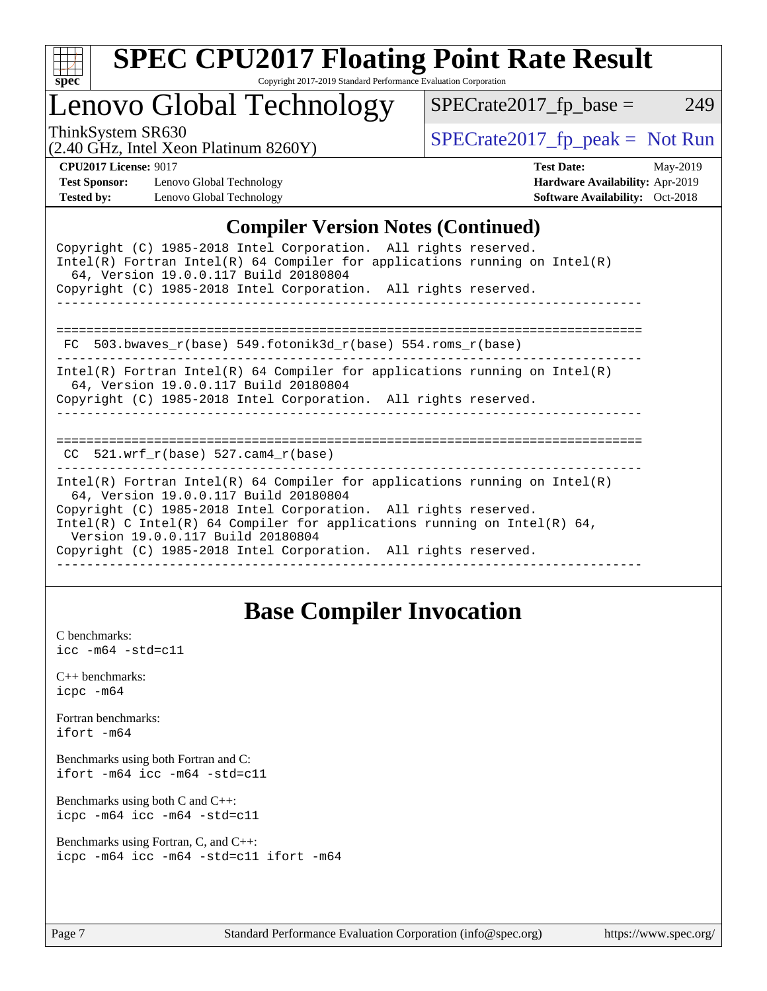| S.<br>De<br>ι. |  |  |  |  |  |  |
|----------------|--|--|--|--|--|--|

# Lenovo Global Technology

ThinkSystem SR630<br>  $(2.40 \text{ GHz. Intel Yoon Plotinum } 8260 \text{V})$  [SPECrate2017\\_fp\\_peak =](http://www.spec.org/auto/cpu2017/Docs/result-fields.html#SPECrate2017fppeak) Not Run

 $SPECTate2017_fp\_base = 249$ 

#### (2.40 GHz, Intel Xeon Platinum 8260Y)

**[Test Sponsor:](http://www.spec.org/auto/cpu2017/Docs/result-fields.html#TestSponsor)** Lenovo Global Technology **[Hardware Availability:](http://www.spec.org/auto/cpu2017/Docs/result-fields.html#HardwareAvailability)** Apr-2019 **[Tested by:](http://www.spec.org/auto/cpu2017/Docs/result-fields.html#Testedby)** Lenovo Global Technology **[Software Availability:](http://www.spec.org/auto/cpu2017/Docs/result-fields.html#SoftwareAvailability)** Oct-2018

**[CPU2017 License:](http://www.spec.org/auto/cpu2017/Docs/result-fields.html#CPU2017License)** 9017 **[Test Date:](http://www.spec.org/auto/cpu2017/Docs/result-fields.html#TestDate)** May-2019

### **[Compiler Version Notes \(Continued\)](http://www.spec.org/auto/cpu2017/Docs/result-fields.html#CompilerVersionNotes)**

| Copyright (C) 1985-2018 Intel Corporation. All rights reserved.<br>Intel(R) Fortran Intel(R) 64 Compiler for applications running on Intel(R)<br>64, Version 19.0.0.117 Build 20180804                                                                                                                                                                                       |
|------------------------------------------------------------------------------------------------------------------------------------------------------------------------------------------------------------------------------------------------------------------------------------------------------------------------------------------------------------------------------|
| Copyright (C) 1985-2018 Intel Corporation. All rights reserved.                                                                                                                                                                                                                                                                                                              |
|                                                                                                                                                                                                                                                                                                                                                                              |
| FC 503.bwaves $r(base)$ 549.fotonik3d $r(base)$ 554.roms $r(base)$                                                                                                                                                                                                                                                                                                           |
| Intel(R) Fortran Intel(R) 64 Compiler for applications running on Intel(R)<br>64, Version 19.0.0.117 Build 20180804<br>Copyright (C) 1985-2018 Intel Corporation. All rights reserved.                                                                                                                                                                                       |
| CC $521.$ wrf $r(base) 527.$ cam4 $r(base)$                                                                                                                                                                                                                                                                                                                                  |
| $Intel(R)$ Fortran Intel(R) 64 Compiler for applications running on Intel(R)<br>64, Version 19.0.0.117 Build 20180804<br>Copyright (C) 1985-2018 Intel Corporation. All rights reserved.<br>Intel(R) C Intel(R) 64 Compiler for applications running on Intel(R) 64,<br>Version 19.0.0.117 Build 20180804<br>Copyright (C) 1985-2018 Intel Corporation. All rights reserved. |
|                                                                                                                                                                                                                                                                                                                                                                              |

### **[Base Compiler Invocation](http://www.spec.org/auto/cpu2017/Docs/result-fields.html#BaseCompilerInvocation)**

[C benchmarks](http://www.spec.org/auto/cpu2017/Docs/result-fields.html#Cbenchmarks): [icc -m64 -std=c11](http://www.spec.org/cpu2017/results/res2019q3/cpu2017-20190624-15479.flags.html#user_CCbase_intel_icc_64bit_c11_33ee0cdaae7deeeab2a9725423ba97205ce30f63b9926c2519791662299b76a0318f32ddfffdc46587804de3178b4f9328c46fa7c2b0cd779d7a61945c91cd35)

[C++ benchmarks:](http://www.spec.org/auto/cpu2017/Docs/result-fields.html#CXXbenchmarks) [icpc -m64](http://www.spec.org/cpu2017/results/res2019q3/cpu2017-20190624-15479.flags.html#user_CXXbase_intel_icpc_64bit_4ecb2543ae3f1412ef961e0650ca070fec7b7afdcd6ed48761b84423119d1bf6bdf5cad15b44d48e7256388bc77273b966e5eb805aefd121eb22e9299b2ec9d9)

[Fortran benchmarks](http://www.spec.org/auto/cpu2017/Docs/result-fields.html#Fortranbenchmarks): [ifort -m64](http://www.spec.org/cpu2017/results/res2019q3/cpu2017-20190624-15479.flags.html#user_FCbase_intel_ifort_64bit_24f2bb282fbaeffd6157abe4f878425411749daecae9a33200eee2bee2fe76f3b89351d69a8130dd5949958ce389cf37ff59a95e7a40d588e8d3a57e0c3fd751)

[Benchmarks using both Fortran and C](http://www.spec.org/auto/cpu2017/Docs/result-fields.html#BenchmarksusingbothFortranandC): [ifort -m64](http://www.spec.org/cpu2017/results/res2019q3/cpu2017-20190624-15479.flags.html#user_CC_FCbase_intel_ifort_64bit_24f2bb282fbaeffd6157abe4f878425411749daecae9a33200eee2bee2fe76f3b89351d69a8130dd5949958ce389cf37ff59a95e7a40d588e8d3a57e0c3fd751) [icc -m64 -std=c11](http://www.spec.org/cpu2017/results/res2019q3/cpu2017-20190624-15479.flags.html#user_CC_FCbase_intel_icc_64bit_c11_33ee0cdaae7deeeab2a9725423ba97205ce30f63b9926c2519791662299b76a0318f32ddfffdc46587804de3178b4f9328c46fa7c2b0cd779d7a61945c91cd35)

[Benchmarks using both C and C++](http://www.spec.org/auto/cpu2017/Docs/result-fields.html#BenchmarksusingbothCandCXX): [icpc -m64](http://www.spec.org/cpu2017/results/res2019q3/cpu2017-20190624-15479.flags.html#user_CC_CXXbase_intel_icpc_64bit_4ecb2543ae3f1412ef961e0650ca070fec7b7afdcd6ed48761b84423119d1bf6bdf5cad15b44d48e7256388bc77273b966e5eb805aefd121eb22e9299b2ec9d9) [icc -m64 -std=c11](http://www.spec.org/cpu2017/results/res2019q3/cpu2017-20190624-15479.flags.html#user_CC_CXXbase_intel_icc_64bit_c11_33ee0cdaae7deeeab2a9725423ba97205ce30f63b9926c2519791662299b76a0318f32ddfffdc46587804de3178b4f9328c46fa7c2b0cd779d7a61945c91cd35)

[Benchmarks using Fortran, C, and C++:](http://www.spec.org/auto/cpu2017/Docs/result-fields.html#BenchmarksusingFortranCandCXX) [icpc -m64](http://www.spec.org/cpu2017/results/res2019q3/cpu2017-20190624-15479.flags.html#user_CC_CXX_FCbase_intel_icpc_64bit_4ecb2543ae3f1412ef961e0650ca070fec7b7afdcd6ed48761b84423119d1bf6bdf5cad15b44d48e7256388bc77273b966e5eb805aefd121eb22e9299b2ec9d9) [icc -m64 -std=c11](http://www.spec.org/cpu2017/results/res2019q3/cpu2017-20190624-15479.flags.html#user_CC_CXX_FCbase_intel_icc_64bit_c11_33ee0cdaae7deeeab2a9725423ba97205ce30f63b9926c2519791662299b76a0318f32ddfffdc46587804de3178b4f9328c46fa7c2b0cd779d7a61945c91cd35) [ifort -m64](http://www.spec.org/cpu2017/results/res2019q3/cpu2017-20190624-15479.flags.html#user_CC_CXX_FCbase_intel_ifort_64bit_24f2bb282fbaeffd6157abe4f878425411749daecae9a33200eee2bee2fe76f3b89351d69a8130dd5949958ce389cf37ff59a95e7a40d588e8d3a57e0c3fd751)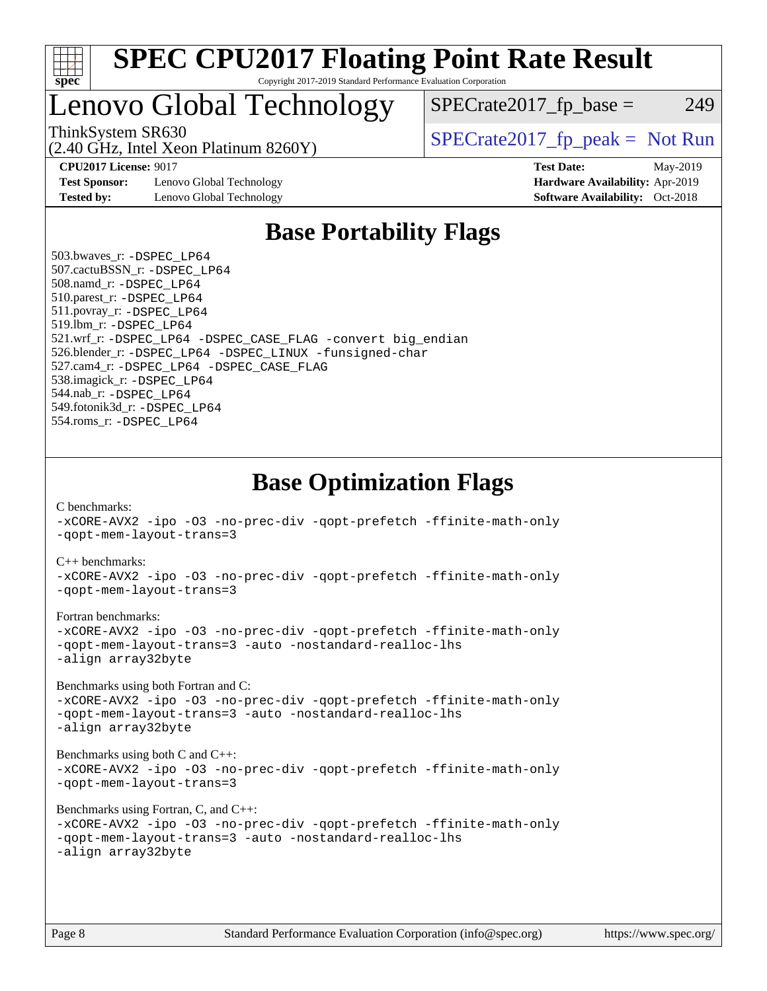

### Lenovo Global Technology

ThinkSystem SR630<br>  $SPECTR_{12}$  [SPECrate2017\\_fp\\_peak =](http://www.spec.org/auto/cpu2017/Docs/result-fields.html#SPECrate2017fppeak) Not Run

 $SPECTate2017<sub>fp</sub> base = 249$ 

**[Test Sponsor:](http://www.spec.org/auto/cpu2017/Docs/result-fields.html#TestSponsor)** Lenovo Global Technology **[Hardware Availability:](http://www.spec.org/auto/cpu2017/Docs/result-fields.html#HardwareAvailability)** Apr-2019 **[Tested by:](http://www.spec.org/auto/cpu2017/Docs/result-fields.html#Testedby)** Lenovo Global Technology **[Software Availability:](http://www.spec.org/auto/cpu2017/Docs/result-fields.html#SoftwareAvailability)** Oct-2018

(2.40 GHz, Intel Xeon Platinum 8260Y)

**[CPU2017 License:](http://www.spec.org/auto/cpu2017/Docs/result-fields.html#CPU2017License)** 9017 **[Test Date:](http://www.spec.org/auto/cpu2017/Docs/result-fields.html#TestDate)** May-2019

### **[Base Portability Flags](http://www.spec.org/auto/cpu2017/Docs/result-fields.html#BasePortabilityFlags)**

 503.bwaves\_r: [-DSPEC\\_LP64](http://www.spec.org/cpu2017/results/res2019q3/cpu2017-20190624-15479.flags.html#suite_basePORTABILITY503_bwaves_r_DSPEC_LP64) 507.cactuBSSN\_r: [-DSPEC\\_LP64](http://www.spec.org/cpu2017/results/res2019q3/cpu2017-20190624-15479.flags.html#suite_basePORTABILITY507_cactuBSSN_r_DSPEC_LP64) 508.namd\_r: [-DSPEC\\_LP64](http://www.spec.org/cpu2017/results/res2019q3/cpu2017-20190624-15479.flags.html#suite_basePORTABILITY508_namd_r_DSPEC_LP64) 510.parest\_r: [-DSPEC\\_LP64](http://www.spec.org/cpu2017/results/res2019q3/cpu2017-20190624-15479.flags.html#suite_basePORTABILITY510_parest_r_DSPEC_LP64) 511.povray\_r: [-DSPEC\\_LP64](http://www.spec.org/cpu2017/results/res2019q3/cpu2017-20190624-15479.flags.html#suite_basePORTABILITY511_povray_r_DSPEC_LP64) 519.lbm\_r: [-DSPEC\\_LP64](http://www.spec.org/cpu2017/results/res2019q3/cpu2017-20190624-15479.flags.html#suite_basePORTABILITY519_lbm_r_DSPEC_LP64) 521.wrf\_r: [-DSPEC\\_LP64](http://www.spec.org/cpu2017/results/res2019q3/cpu2017-20190624-15479.flags.html#suite_basePORTABILITY521_wrf_r_DSPEC_LP64) [-DSPEC\\_CASE\\_FLAG](http://www.spec.org/cpu2017/results/res2019q3/cpu2017-20190624-15479.flags.html#b521.wrf_r_baseCPORTABILITY_DSPEC_CASE_FLAG) [-convert big\\_endian](http://www.spec.org/cpu2017/results/res2019q3/cpu2017-20190624-15479.flags.html#user_baseFPORTABILITY521_wrf_r_convert_big_endian_c3194028bc08c63ac5d04de18c48ce6d347e4e562e8892b8bdbdc0214820426deb8554edfa529a3fb25a586e65a3d812c835984020483e7e73212c4d31a38223) 526.blender\_r: [-DSPEC\\_LP64](http://www.spec.org/cpu2017/results/res2019q3/cpu2017-20190624-15479.flags.html#suite_basePORTABILITY526_blender_r_DSPEC_LP64) [-DSPEC\\_LINUX](http://www.spec.org/cpu2017/results/res2019q3/cpu2017-20190624-15479.flags.html#b526.blender_r_baseCPORTABILITY_DSPEC_LINUX) [-funsigned-char](http://www.spec.org/cpu2017/results/res2019q3/cpu2017-20190624-15479.flags.html#user_baseCPORTABILITY526_blender_r_force_uchar_40c60f00ab013830e2dd6774aeded3ff59883ba5a1fc5fc14077f794d777847726e2a5858cbc7672e36e1b067e7e5c1d9a74f7176df07886a243d7cc18edfe67) 527.cam4\_r: [-DSPEC\\_LP64](http://www.spec.org/cpu2017/results/res2019q3/cpu2017-20190624-15479.flags.html#suite_basePORTABILITY527_cam4_r_DSPEC_LP64) [-DSPEC\\_CASE\\_FLAG](http://www.spec.org/cpu2017/results/res2019q3/cpu2017-20190624-15479.flags.html#b527.cam4_r_baseCPORTABILITY_DSPEC_CASE_FLAG) 538.imagick\_r: [-DSPEC\\_LP64](http://www.spec.org/cpu2017/results/res2019q3/cpu2017-20190624-15479.flags.html#suite_basePORTABILITY538_imagick_r_DSPEC_LP64) 544.nab\_r: [-DSPEC\\_LP64](http://www.spec.org/cpu2017/results/res2019q3/cpu2017-20190624-15479.flags.html#suite_basePORTABILITY544_nab_r_DSPEC_LP64) 549.fotonik3d\_r: [-DSPEC\\_LP64](http://www.spec.org/cpu2017/results/res2019q3/cpu2017-20190624-15479.flags.html#suite_basePORTABILITY549_fotonik3d_r_DSPEC_LP64) 554.roms\_r: [-DSPEC\\_LP64](http://www.spec.org/cpu2017/results/res2019q3/cpu2017-20190624-15479.flags.html#suite_basePORTABILITY554_roms_r_DSPEC_LP64)

**[Base Optimization Flags](http://www.spec.org/auto/cpu2017/Docs/result-fields.html#BaseOptimizationFlags)**

[C benchmarks](http://www.spec.org/auto/cpu2017/Docs/result-fields.html#Cbenchmarks):

[-xCORE-AVX2](http://www.spec.org/cpu2017/results/res2019q3/cpu2017-20190624-15479.flags.html#user_CCbase_f-xCORE-AVX2) [-ipo](http://www.spec.org/cpu2017/results/res2019q3/cpu2017-20190624-15479.flags.html#user_CCbase_f-ipo) [-O3](http://www.spec.org/cpu2017/results/res2019q3/cpu2017-20190624-15479.flags.html#user_CCbase_f-O3) [-no-prec-div](http://www.spec.org/cpu2017/results/res2019q3/cpu2017-20190624-15479.flags.html#user_CCbase_f-no-prec-div) [-qopt-prefetch](http://www.spec.org/cpu2017/results/res2019q3/cpu2017-20190624-15479.flags.html#user_CCbase_f-qopt-prefetch) [-ffinite-math-only](http://www.spec.org/cpu2017/results/res2019q3/cpu2017-20190624-15479.flags.html#user_CCbase_f_finite_math_only_cb91587bd2077682c4b38af759c288ed7c732db004271a9512da14a4f8007909a5f1427ecbf1a0fb78ff2a814402c6114ac565ca162485bbcae155b5e4258871) [-qopt-mem-layout-trans=3](http://www.spec.org/cpu2017/results/res2019q3/cpu2017-20190624-15479.flags.html#user_CCbase_f-qopt-mem-layout-trans_de80db37974c74b1f0e20d883f0b675c88c3b01e9d123adea9b28688d64333345fb62bc4a798493513fdb68f60282f9a726aa07f478b2f7113531aecce732043) [C++ benchmarks:](http://www.spec.org/auto/cpu2017/Docs/result-fields.html#CXXbenchmarks) [-xCORE-AVX2](http://www.spec.org/cpu2017/results/res2019q3/cpu2017-20190624-15479.flags.html#user_CXXbase_f-xCORE-AVX2) [-ipo](http://www.spec.org/cpu2017/results/res2019q3/cpu2017-20190624-15479.flags.html#user_CXXbase_f-ipo) [-O3](http://www.spec.org/cpu2017/results/res2019q3/cpu2017-20190624-15479.flags.html#user_CXXbase_f-O3) [-no-prec-div](http://www.spec.org/cpu2017/results/res2019q3/cpu2017-20190624-15479.flags.html#user_CXXbase_f-no-prec-div) [-qopt-prefetch](http://www.spec.org/cpu2017/results/res2019q3/cpu2017-20190624-15479.flags.html#user_CXXbase_f-qopt-prefetch) [-ffinite-math-only](http://www.spec.org/cpu2017/results/res2019q3/cpu2017-20190624-15479.flags.html#user_CXXbase_f_finite_math_only_cb91587bd2077682c4b38af759c288ed7c732db004271a9512da14a4f8007909a5f1427ecbf1a0fb78ff2a814402c6114ac565ca162485bbcae155b5e4258871) [-qopt-mem-layout-trans=3](http://www.spec.org/cpu2017/results/res2019q3/cpu2017-20190624-15479.flags.html#user_CXXbase_f-qopt-mem-layout-trans_de80db37974c74b1f0e20d883f0b675c88c3b01e9d123adea9b28688d64333345fb62bc4a798493513fdb68f60282f9a726aa07f478b2f7113531aecce732043) [Fortran benchmarks](http://www.spec.org/auto/cpu2017/Docs/result-fields.html#Fortranbenchmarks): [-xCORE-AVX2](http://www.spec.org/cpu2017/results/res2019q3/cpu2017-20190624-15479.flags.html#user_FCbase_f-xCORE-AVX2) [-ipo](http://www.spec.org/cpu2017/results/res2019q3/cpu2017-20190624-15479.flags.html#user_FCbase_f-ipo) [-O3](http://www.spec.org/cpu2017/results/res2019q3/cpu2017-20190624-15479.flags.html#user_FCbase_f-O3) [-no-prec-div](http://www.spec.org/cpu2017/results/res2019q3/cpu2017-20190624-15479.flags.html#user_FCbase_f-no-prec-div) [-qopt-prefetch](http://www.spec.org/cpu2017/results/res2019q3/cpu2017-20190624-15479.flags.html#user_FCbase_f-qopt-prefetch) [-ffinite-math-only](http://www.spec.org/cpu2017/results/res2019q3/cpu2017-20190624-15479.flags.html#user_FCbase_f_finite_math_only_cb91587bd2077682c4b38af759c288ed7c732db004271a9512da14a4f8007909a5f1427ecbf1a0fb78ff2a814402c6114ac565ca162485bbcae155b5e4258871) [-qopt-mem-layout-trans=3](http://www.spec.org/cpu2017/results/res2019q3/cpu2017-20190624-15479.flags.html#user_FCbase_f-qopt-mem-layout-trans_de80db37974c74b1f0e20d883f0b675c88c3b01e9d123adea9b28688d64333345fb62bc4a798493513fdb68f60282f9a726aa07f478b2f7113531aecce732043) [-auto](http://www.spec.org/cpu2017/results/res2019q3/cpu2017-20190624-15479.flags.html#user_FCbase_f-auto) [-nostandard-realloc-lhs](http://www.spec.org/cpu2017/results/res2019q3/cpu2017-20190624-15479.flags.html#user_FCbase_f_2003_std_realloc_82b4557e90729c0f113870c07e44d33d6f5a304b4f63d4c15d2d0f1fab99f5daaed73bdb9275d9ae411527f28b936061aa8b9c8f2d63842963b95c9dd6426b8a) [-align array32byte](http://www.spec.org/cpu2017/results/res2019q3/cpu2017-20190624-15479.flags.html#user_FCbase_align_array32byte_b982fe038af199962ba9a80c053b8342c548c85b40b8e86eb3cc33dee0d7986a4af373ac2d51c3f7cf710a18d62fdce2948f201cd044323541f22fc0fffc51b6) [Benchmarks using both Fortran and C](http://www.spec.org/auto/cpu2017/Docs/result-fields.html#BenchmarksusingbothFortranandC): [-xCORE-AVX2](http://www.spec.org/cpu2017/results/res2019q3/cpu2017-20190624-15479.flags.html#user_CC_FCbase_f-xCORE-AVX2) [-ipo](http://www.spec.org/cpu2017/results/res2019q3/cpu2017-20190624-15479.flags.html#user_CC_FCbase_f-ipo) [-O3](http://www.spec.org/cpu2017/results/res2019q3/cpu2017-20190624-15479.flags.html#user_CC_FCbase_f-O3) [-no-prec-div](http://www.spec.org/cpu2017/results/res2019q3/cpu2017-20190624-15479.flags.html#user_CC_FCbase_f-no-prec-div) [-qopt-prefetch](http://www.spec.org/cpu2017/results/res2019q3/cpu2017-20190624-15479.flags.html#user_CC_FCbase_f-qopt-prefetch) [-ffinite-math-only](http://www.spec.org/cpu2017/results/res2019q3/cpu2017-20190624-15479.flags.html#user_CC_FCbase_f_finite_math_only_cb91587bd2077682c4b38af759c288ed7c732db004271a9512da14a4f8007909a5f1427ecbf1a0fb78ff2a814402c6114ac565ca162485bbcae155b5e4258871) [-qopt-mem-layout-trans=3](http://www.spec.org/cpu2017/results/res2019q3/cpu2017-20190624-15479.flags.html#user_CC_FCbase_f-qopt-mem-layout-trans_de80db37974c74b1f0e20d883f0b675c88c3b01e9d123adea9b28688d64333345fb62bc4a798493513fdb68f60282f9a726aa07f478b2f7113531aecce732043) [-auto](http://www.spec.org/cpu2017/results/res2019q3/cpu2017-20190624-15479.flags.html#user_CC_FCbase_f-auto) [-nostandard-realloc-lhs](http://www.spec.org/cpu2017/results/res2019q3/cpu2017-20190624-15479.flags.html#user_CC_FCbase_f_2003_std_realloc_82b4557e90729c0f113870c07e44d33d6f5a304b4f63d4c15d2d0f1fab99f5daaed73bdb9275d9ae411527f28b936061aa8b9c8f2d63842963b95c9dd6426b8a) [-align array32byte](http://www.spec.org/cpu2017/results/res2019q3/cpu2017-20190624-15479.flags.html#user_CC_FCbase_align_array32byte_b982fe038af199962ba9a80c053b8342c548c85b40b8e86eb3cc33dee0d7986a4af373ac2d51c3f7cf710a18d62fdce2948f201cd044323541f22fc0fffc51b6) [Benchmarks using both C and C++](http://www.spec.org/auto/cpu2017/Docs/result-fields.html#BenchmarksusingbothCandCXX): [-xCORE-AVX2](http://www.spec.org/cpu2017/results/res2019q3/cpu2017-20190624-15479.flags.html#user_CC_CXXbase_f-xCORE-AVX2) [-ipo](http://www.spec.org/cpu2017/results/res2019q3/cpu2017-20190624-15479.flags.html#user_CC_CXXbase_f-ipo) [-O3](http://www.spec.org/cpu2017/results/res2019q3/cpu2017-20190624-15479.flags.html#user_CC_CXXbase_f-O3) [-no-prec-div](http://www.spec.org/cpu2017/results/res2019q3/cpu2017-20190624-15479.flags.html#user_CC_CXXbase_f-no-prec-div) [-qopt-prefetch](http://www.spec.org/cpu2017/results/res2019q3/cpu2017-20190624-15479.flags.html#user_CC_CXXbase_f-qopt-prefetch) [-ffinite-math-only](http://www.spec.org/cpu2017/results/res2019q3/cpu2017-20190624-15479.flags.html#user_CC_CXXbase_f_finite_math_only_cb91587bd2077682c4b38af759c288ed7c732db004271a9512da14a4f8007909a5f1427ecbf1a0fb78ff2a814402c6114ac565ca162485bbcae155b5e4258871) [-qopt-mem-layout-trans=3](http://www.spec.org/cpu2017/results/res2019q3/cpu2017-20190624-15479.flags.html#user_CC_CXXbase_f-qopt-mem-layout-trans_de80db37974c74b1f0e20d883f0b675c88c3b01e9d123adea9b28688d64333345fb62bc4a798493513fdb68f60282f9a726aa07f478b2f7113531aecce732043) [Benchmarks using Fortran, C, and C++:](http://www.spec.org/auto/cpu2017/Docs/result-fields.html#BenchmarksusingFortranCandCXX) [-xCORE-AVX2](http://www.spec.org/cpu2017/results/res2019q3/cpu2017-20190624-15479.flags.html#user_CC_CXX_FCbase_f-xCORE-AVX2) [-ipo](http://www.spec.org/cpu2017/results/res2019q3/cpu2017-20190624-15479.flags.html#user_CC_CXX_FCbase_f-ipo) [-O3](http://www.spec.org/cpu2017/results/res2019q3/cpu2017-20190624-15479.flags.html#user_CC_CXX_FCbase_f-O3) [-no-prec-div](http://www.spec.org/cpu2017/results/res2019q3/cpu2017-20190624-15479.flags.html#user_CC_CXX_FCbase_f-no-prec-div) [-qopt-prefetch](http://www.spec.org/cpu2017/results/res2019q3/cpu2017-20190624-15479.flags.html#user_CC_CXX_FCbase_f-qopt-prefetch) [-ffinite-math-only](http://www.spec.org/cpu2017/results/res2019q3/cpu2017-20190624-15479.flags.html#user_CC_CXX_FCbase_f_finite_math_only_cb91587bd2077682c4b38af759c288ed7c732db004271a9512da14a4f8007909a5f1427ecbf1a0fb78ff2a814402c6114ac565ca162485bbcae155b5e4258871) [-qopt-mem-layout-trans=3](http://www.spec.org/cpu2017/results/res2019q3/cpu2017-20190624-15479.flags.html#user_CC_CXX_FCbase_f-qopt-mem-layout-trans_de80db37974c74b1f0e20d883f0b675c88c3b01e9d123adea9b28688d64333345fb62bc4a798493513fdb68f60282f9a726aa07f478b2f7113531aecce732043) [-auto](http://www.spec.org/cpu2017/results/res2019q3/cpu2017-20190624-15479.flags.html#user_CC_CXX_FCbase_f-auto) [-nostandard-realloc-lhs](http://www.spec.org/cpu2017/results/res2019q3/cpu2017-20190624-15479.flags.html#user_CC_CXX_FCbase_f_2003_std_realloc_82b4557e90729c0f113870c07e44d33d6f5a304b4f63d4c15d2d0f1fab99f5daaed73bdb9275d9ae411527f28b936061aa8b9c8f2d63842963b95c9dd6426b8a) [-align array32byte](http://www.spec.org/cpu2017/results/res2019q3/cpu2017-20190624-15479.flags.html#user_CC_CXX_FCbase_align_array32byte_b982fe038af199962ba9a80c053b8342c548c85b40b8e86eb3cc33dee0d7986a4af373ac2d51c3f7cf710a18d62fdce2948f201cd044323541f22fc0fffc51b6)